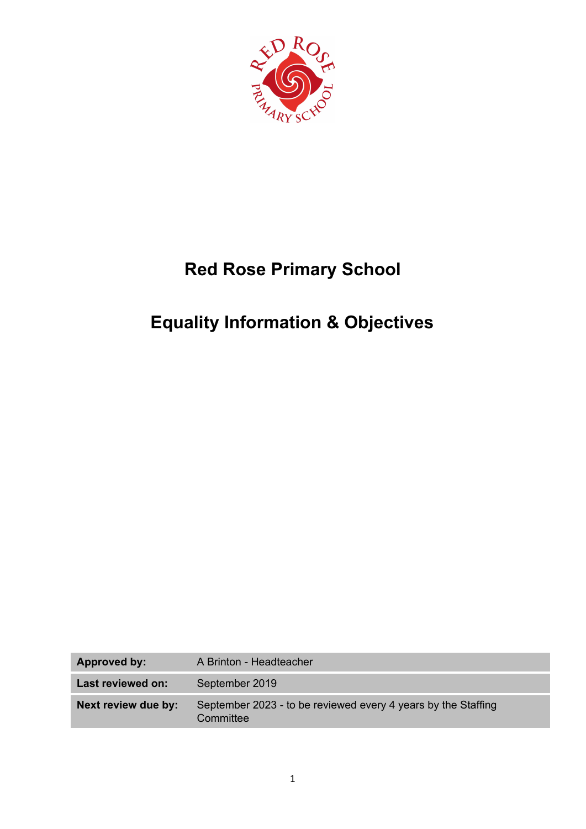

# **Red Rose Primary School**

# **Equality Information & Objectives**

| <b>Approved by:</b> | A Brinton - Headteacher                                                    |
|---------------------|----------------------------------------------------------------------------|
| Last reviewed on:   | September 2019                                                             |
| Next review due by: | September 2023 - to be reviewed every 4 years by the Staffing<br>Committee |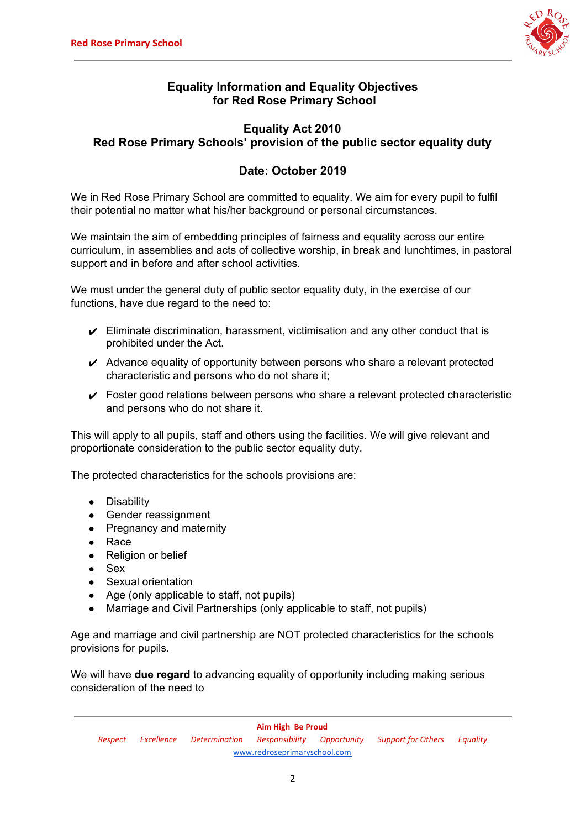

# **Equality Information and Equality Objectives for Red Rose Primary School**

# **Equality Act 2010 Red Rose Primary Schools' provision of the public sector equality duty**

# **Date: October 2019**

We in Red Rose Primary School are committed to equality. We aim for every pupil to fulfil their potential no matter what his/her background or personal circumstances.

We maintain the aim of embedding principles of fairness and equality across our entire curriculum, in assemblies and acts of collective worship, in break and lunchtimes, in pastoral support and in before and after school activities.

We must under the general duty of public sector equality duty, in the exercise of our functions, have due regard to the need to:

- $\checkmark$  Eliminate discrimination, harassment, victimisation and any other conduct that is prohibited under the Act.
- $\vee$  Advance equality of opportunity between persons who share a relevant protected characteristic and persons who do not share it;
- $\checkmark$  Foster good relations between persons who share a relevant protected characteristic and persons who do not share it.

This will apply to all pupils, staff and others using the facilities. We will give relevant and proportionate consideration to the public sector equality duty.

The protected characteristics for the schools provisions are:

- Disability
- Gender reassignment
- Pregnancy and maternity
- Race
- Religion or belief
- $\bullet$  Sex
- Sexual orientation
- Age (only applicable to staff, not pupils)
- Marriage and Civil Partnerships (only applicable to staff, not pupils)

Age and marriage and civil partnership are NOT protected characteristics for the schools provisions for pupils.

We will have **due regard** to advancing equality of opportunity including making serious consideration of the need to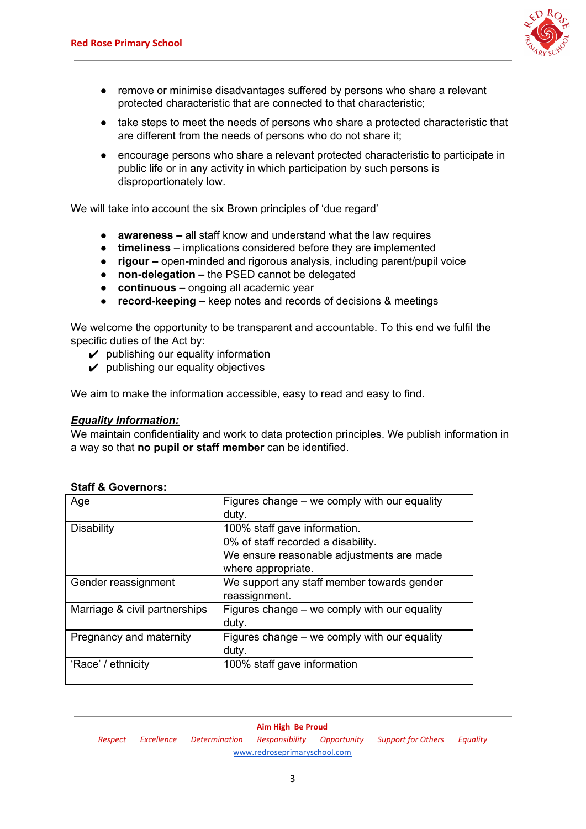

- remove or minimise disadvantages suffered by persons who share a relevant protected characteristic that are connected to that characteristic;
- take steps to meet the needs of persons who share a protected characteristic that are different from the needs of persons who do not share it;
- encourage persons who share a relevant protected characteristic to participate in public life or in any activity in which participation by such persons is disproportionately low.

We will take into account the six Brown principles of 'due regard'

- **● awareness –** all staff know and understand what the law requires
- **● timeliness** implications considered before they are implemented
- **● rigour –** open-minded and rigorous analysis, including parent/pupil voice
- **● non-delegation –** the PSED cannot be delegated
- **● continuous –** ongoing all academic year
- **● record-keeping –** keep notes and records of decisions & meetings

We welcome the opportunity to be transparent and accountable. To this end we fulfil the specific duties of the Act by:

- $\mathcal V$  publishing our equality information
- $\boldsymbol{\nu}$  publishing our equality objectives

We aim to make the information accessible, easy to read and easy to find.

#### *Equality Information:*

We maintain confidentiality and work to data protection principles. We publish information in a way so that **no pupil or staff member** can be identified.

| Age                           | Figures change – we comply with our equality<br>duty.                                                                                 |
|-------------------------------|---------------------------------------------------------------------------------------------------------------------------------------|
| <b>Disability</b>             | 100% staff gave information.<br>0% of staff recorded a disability.<br>We ensure reasonable adjustments are made<br>where appropriate. |
| Gender reassignment           | We support any staff member towards gender<br>reassignment.                                                                           |
| Marriage & civil partnerships | Figures change – we comply with our equality<br>duty.                                                                                 |
| Pregnancy and maternity       | Figures change – we comply with our equality<br>duty.                                                                                 |
| 'Race' / ethnicity            | 100% staff gave information                                                                                                           |

### **Staff & Governors:**

**Aim High Be Proud** *Respect Excellence Determination Responsibility Opportunity Support for Others Equality* [www.redroseprimaryschool.com](http://www.redroseprimaryschool.com/)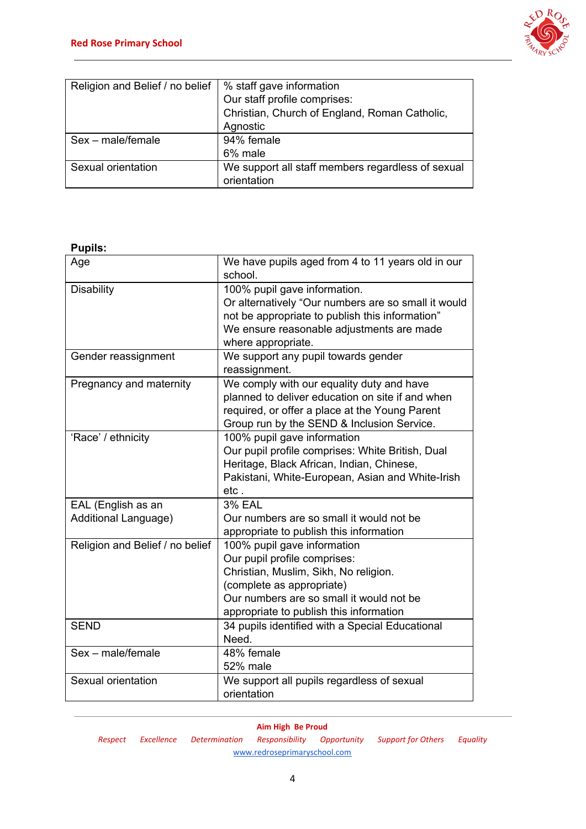

| Religion and Belief / no belief | % staff gave information                          |
|---------------------------------|---------------------------------------------------|
|                                 | Our staff profile comprises:                      |
|                                 | Christian, Church of England, Roman Catholic,     |
|                                 | Agnostic                                          |
| Sex – male/female               | 94% female                                        |
|                                 | 6% male                                           |
| Sexual orientation              | We support all staff members regardless of sexual |
|                                 | orientation                                       |

**Pupils:**

| Age                                        | We have pupils aged from 4 to 11 years old in our<br>school.                                                                                                                                                             |
|--------------------------------------------|--------------------------------------------------------------------------------------------------------------------------------------------------------------------------------------------------------------------------|
| <b>Disability</b>                          | 100% pupil gave information.<br>Or alternatively "Our numbers are so small it would<br>not be appropriate to publish this information"<br>We ensure reasonable adjustments are made<br>where appropriate.                |
| Gender reassignment                        | We support any pupil towards gender<br>reassignment.                                                                                                                                                                     |
| Pregnancy and maternity                    | We comply with our equality duty and have<br>planned to deliver education on site if and when<br>required, or offer a place at the Young Parent<br>Group run by the SEND & Inclusion Service.                            |
| 'Race' / ethnicity                         | 100% pupil gave information<br>Our pupil profile comprises: White British, Dual<br>Heritage, Black African, Indian, Chinese,<br>Pakistani, White-European, Asian and White-Irish<br>etc.                                 |
| EAL (English as an<br>Additional Language) | <b>3% EAL</b><br>Our numbers are so small it would not be<br>appropriate to publish this information                                                                                                                     |
| Religion and Belief / no belief            | 100% pupil gave information<br>Our pupil profile comprises:<br>Christian, Muslim, Sikh, No religion.<br>(complete as appropriate)<br>Our numbers are so small it would not be<br>appropriate to publish this information |
| <b>SEND</b>                                | 34 pupils identified with a Special Educational<br>Need.                                                                                                                                                                 |
| Sex - male/female                          | 48% female<br>52% male                                                                                                                                                                                                   |
| Sexual orientation                         | We support all pupils regardless of sexual<br>orientation                                                                                                                                                                |

*Respect Excellence Determination Responsibility Opportunity Support for Others Equality* [www.redroseprimaryschool.com](http://www.redroseprimaryschool.com/)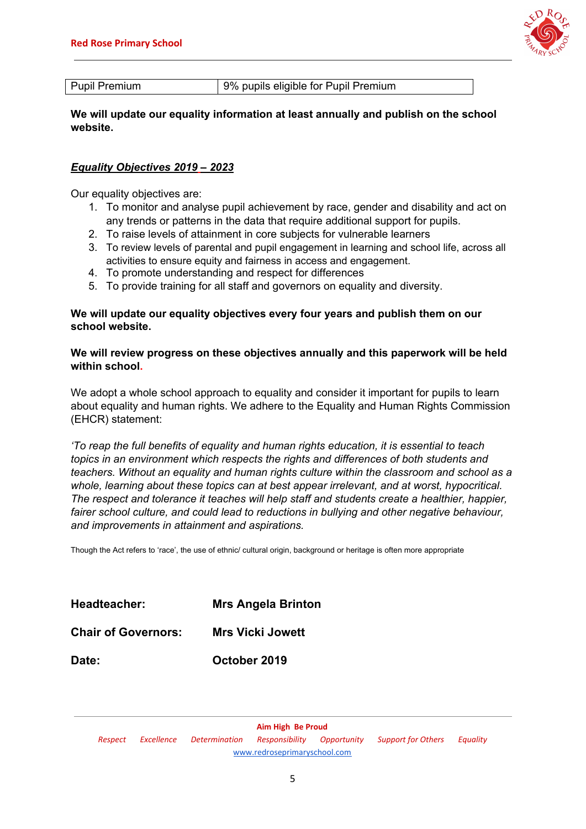

**We will update our equality information at least annually and publish on the school website.**

### *Equality Objectives 2019 – 2023*

Our equality objectives are:

- 1. To monitor and analyse pupil achievement by race, gender and disability and act on any trends or patterns in the data that require additional support for pupils.
- 2. To raise levels of attainment in core subjects for vulnerable learners
- 3. To review levels of parental and pupil engagement in learning and school life, across all activities to ensure equity and fairness in access and engagement.
- 4. To promote understanding and respect for differences
- 5. To provide training for all staff and governors on equality and diversity.

#### **We will update our equality objectives every four years and publish them on our school website.**

#### **We will review progress on these objectives annually and this paperwork will be held within school.**

We adopt a whole school approach to equality and consider it important for pupils to learn about equality and human rights. We adhere to the Equality and Human Rights Commission (EHCR) statement:

*'To reap the full benefits of equality and human rights education, it is essential to teach topics in an environment which respects the rights and differences of both students and teachers. Without an equality and human rights culture within the classroom and school as a whole, learning about these topics can at best appear irrelevant, and at worst, hypocritical. The respect and tolerance it teaches will help staff and students create a healthier, happier, fairer school culture, and could lead to reductions in bullying and other negative behaviour, and improvements in attainment and aspirations.*

Though the Act refers to 'race', the use of ethnic/ cultural origin, background or heritage is often more appropriate

| Headteacher:               | <b>Mrs Angela Brinton</b> |
|----------------------------|---------------------------|
| <b>Chair of Governors:</b> | <b>Mrs Vicki Jowett</b>   |
| Date:                      | October 2019              |